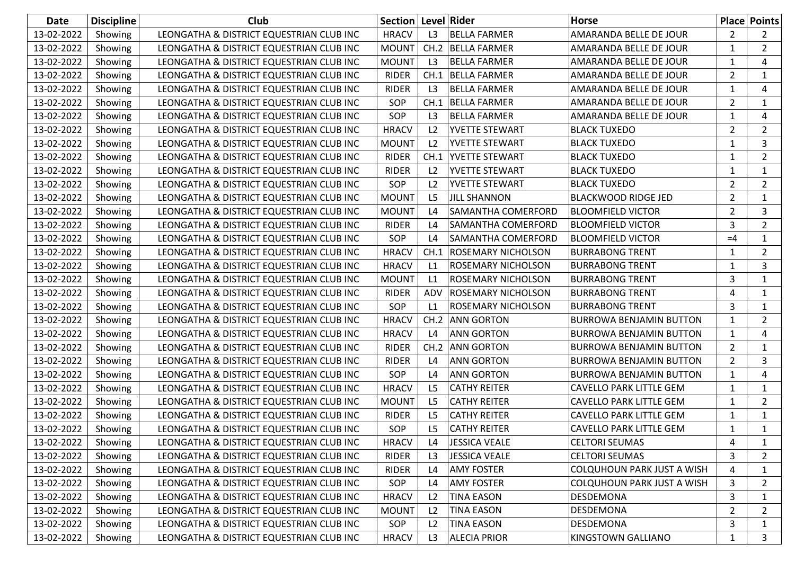| Date       | <b>Discipline</b> | Club                                     | Section   Level   Rider |                |                           | <b>Horse</b>                   |                | <b>Place Points</b> |
|------------|-------------------|------------------------------------------|-------------------------|----------------|---------------------------|--------------------------------|----------------|---------------------|
| 13-02-2022 | Showing           | LEONGATHA & DISTRICT EQUESTRIAN CLUB INC | <b>HRACV</b>            | L3             | <b>BELLA FARMER</b>       | AMARANDA BELLE DE JOUR         | 2              | $\overline{2}$      |
| 13-02-2022 | Showing           | LEONGATHA & DISTRICT EQUESTRIAN CLUB INC | <b>MOUNT</b>            | CH.2           | <b>BELLA FARMER</b>       | AMARANDA BELLE DE JOUR         | 1              | $\overline{2}$      |
| 13-02-2022 | Showing           | LEONGATHA & DISTRICT EQUESTRIAN CLUB INC | <b>MOUNT</b>            | L3             | <b>BELLA FARMER</b>       | AMARANDA BELLE DE JOUR         | 1              | 4                   |
| 13-02-2022 | Showing           | LEONGATHA & DISTRICT EQUESTRIAN CLUB INC | <b>RIDER</b>            | CH.1           | <b>BELLA FARMER</b>       | AMARANDA BELLE DE JOUR         | $\overline{2}$ | $\mathbf{1}$        |
| 13-02-2022 | Showing           | LEONGATHA & DISTRICT EQUESTRIAN CLUB INC | <b>RIDER</b>            | L3             | <b>BELLA FARMER</b>       | AMARANDA BELLE DE JOUR         | 1              | 4                   |
| 13-02-2022 | Showing           | LEONGATHA & DISTRICT EQUESTRIAN CLUB INC | SOP                     | CH.1           | <b>BELLA FARMER</b>       | AMARANDA BELLE DE JOUR         | 2              | $\mathbf{1}$        |
| 13-02-2022 | Showing           | LEONGATHA & DISTRICT EQUESTRIAN CLUB INC | SOP                     | L <sub>3</sub> | <b>BELLA FARMER</b>       | AMARANDA BELLE DE JOUR         | 1              | 4                   |
| 13-02-2022 | Showing           | LEONGATHA & DISTRICT EQUESTRIAN CLUB INC | <b>HRACV</b>            | L2             | YVETTE STEWART            | <b>BLACK TUXEDO</b>            | $\overline{2}$ | $\overline{2}$      |
| 13-02-2022 | Showing           | LEONGATHA & DISTRICT EQUESTRIAN CLUB INC | <b>MOUNT</b>            | L <sub>2</sub> | <b>YVETTE STEWART</b>     | <b>BLACK TUXEDO</b>            | 1              | 3                   |
| 13-02-2022 | Showing           | LEONGATHA & DISTRICT EQUESTRIAN CLUB INC | <b>RIDER</b>            | CH.1           | <b>YVETTE STEWART</b>     | <b>BLACK TUXEDO</b>            | 1              | $\overline{2}$      |
| 13-02-2022 | Showing           | LEONGATHA & DISTRICT EQUESTRIAN CLUB INC | <b>RIDER</b>            | L <sub>2</sub> | YVETTE STEWART            | <b>BLACK TUXEDO</b>            | 1              | $\mathbf{1}$        |
| 13-02-2022 | Showing           | LEONGATHA & DISTRICT EQUESTRIAN CLUB INC | SOP                     | L <sub>2</sub> | YVETTE STEWART            | <b>BLACK TUXEDO</b>            | $\overline{2}$ | $\overline{2}$      |
| 13-02-2022 | Showing           | LEONGATHA & DISTRICT EQUESTRIAN CLUB INC | <b>MOUNT</b>            | L <sub>5</sub> | <b>JILL SHANNON</b>       | <b>BLACKWOOD RIDGE JED</b>     | $\overline{2}$ | $\mathbf{1}$        |
| 13-02-2022 | Showing           | LEONGATHA & DISTRICT EQUESTRIAN CLUB INC | <b>MOUNT</b>            | L4             | <b>SAMANTHA COMERFORD</b> | <b>BLOOMFIELD VICTOR</b>       | $\overline{2}$ | 3                   |
| 13-02-2022 | Showing           | LEONGATHA & DISTRICT EQUESTRIAN CLUB INC | <b>RIDER</b>            | L4             | <b>SAMANTHA COMERFORD</b> | <b>BLOOMFIELD VICTOR</b>       | 3              | $\overline{2}$      |
| 13-02-2022 | Showing           | LEONGATHA & DISTRICT EQUESTRIAN CLUB INC | SOP                     | L4             | SAMANTHA COMERFORD        | <b>BLOOMFIELD VICTOR</b>       | $=4$           | $\mathbf{1}$        |
| 13-02-2022 | Showing           | LEONGATHA & DISTRICT EQUESTRIAN CLUB INC | <b>HRACV</b>            | CH.1           | <b>ROSEMARY NICHOLSON</b> | <b>BURRABONG TRENT</b>         | 1              | $\overline{2}$      |
| 13-02-2022 | Showing           | LEONGATHA & DISTRICT EQUESTRIAN CLUB INC | <b>HRACV</b>            | L1             | <b>ROSEMARY NICHOLSON</b> | <b>BURRABONG TRENT</b>         | 1              | 3                   |
| 13-02-2022 | Showing           | LEONGATHA & DISTRICT EQUESTRIAN CLUB INC | <b>MOUNT</b>            | L1             | <b>ROSEMARY NICHOLSON</b> | <b>BURRABONG TRENT</b>         | 3              | $\mathbf{1}$        |
| 13-02-2022 | Showing           | LEONGATHA & DISTRICT EQUESTRIAN CLUB INC | <b>RIDER</b>            | <b>ADV</b>     | <b>ROSEMARY NICHOLSON</b> | <b>BURRABONG TRENT</b>         | 4              | 1                   |
| 13-02-2022 | Showing           | LEONGATHA & DISTRICT EQUESTRIAN CLUB INC | SOP                     | L1             | <b>ROSEMARY NICHOLSON</b> | <b>BURRABONG TRENT</b>         | 3              | $\mathbf{1}$        |
| 13-02-2022 | Showing           | LEONGATHA & DISTRICT EQUESTRIAN CLUB INC | <b>HRACV</b>            | CH.2           | <b>ANN GORTON</b>         | <b>BURROWA BENJAMIN BUTTON</b> | 1              | $\overline{2}$      |
| 13-02-2022 | Showing           | LEONGATHA & DISTRICT EQUESTRIAN CLUB INC | <b>HRACV</b>            | L4             | <b>ANN GORTON</b>         | <b>BURROWA BENJAMIN BUTTON</b> | $\mathbf{1}$   | 4                   |
| 13-02-2022 | Showing           | LEONGATHA & DISTRICT EQUESTRIAN CLUB INC | <b>RIDER</b>            | CH.2           | <b>ANN GORTON</b>         | <b>BURROWA BENJAMIN BUTTON</b> | $\overline{2}$ | $\mathbf{1}$        |
| 13-02-2022 | Showing           | LEONGATHA & DISTRICT EQUESTRIAN CLUB INC | <b>RIDER</b>            | L4             | <b>ANN GORTON</b>         | <b>BURROWA BENJAMIN BUTTON</b> | $\overline{2}$ | 3                   |
| 13-02-2022 | Showing           | LEONGATHA & DISTRICT EQUESTRIAN CLUB INC | SOP                     | L4             | <b>ANN GORTON</b>         | <b>BURROWA BENJAMIN BUTTON</b> | $\mathbf{1}$   | 4                   |
| 13-02-2022 | Showing           | LEONGATHA & DISTRICT EQUESTRIAN CLUB INC | <b>HRACV</b>            | L <sub>5</sub> | <b>CATHY REITER</b>       | CAVELLO PARK LITTLE GEM        | 1              | $\mathbf{1}$        |
| 13-02-2022 | Showing           | LEONGATHA & DISTRICT EQUESTRIAN CLUB INC | <b>MOUNT</b>            | L <sub>5</sub> | <b>CATHY REITER</b>       | CAVELLO PARK LITTLE GEM        | $\mathbf{1}$   | $\overline{2}$      |
| 13-02-2022 | Showing           | LEONGATHA & DISTRICT EQUESTRIAN CLUB INC | <b>RIDER</b>            | L <sub>5</sub> | <b>CATHY REITER</b>       | CAVELLO PARK LITTLE GEM        | 1              | $\mathbf{1}$        |
| 13-02-2022 | Showing           | LEONGATHA & DISTRICT EQUESTRIAN CLUB INC | SOP                     | L <sub>5</sub> | <b>CATHY REITER</b>       | <b>CAVELLO PARK LITTLE GEM</b> | 1              | $\mathbf{1}$        |
| 13-02-2022 | Showing           | LEONGATHA & DISTRICT EQUESTRIAN CLUB INC | <b>HRACV</b>            | L4             | JESSICA VEALE             | <b>CELTORI SEUMAS</b>          | 4              | $\mathbf{1}$        |
| 13-02-2022 | Showing           | LEONGATHA & DISTRICT EQUESTRIAN CLUB INC | <b>RIDER</b>            | L <sub>3</sub> | JESSICA VEALE             | <b>CELTORI SEUMAS</b>          | 3              | 2                   |
| 13-02-2022 | Showing           | LEONGATHA & DISTRICT EQUESTRIAN CLUB INC | <b>RIDER</b>            | L4             | <b>AMY FOSTER</b>         | COLQUHOUN PARK JUST A WISH     | 4              | 1                   |
| 13-02-2022 | Showing           | LEONGATHA & DISTRICT EQUESTRIAN CLUB INC | SOP                     | L4             | <b>AMY FOSTER</b>         | COLQUHOUN PARK JUST A WISH     | 3              | $\overline{2}$      |
| 13-02-2022 | Showing           | LEONGATHA & DISTRICT EQUESTRIAN CLUB INC | <b>HRACV</b>            | L2             | <b>TINA EASON</b>         | DESDEMONA                      | 3              | 1                   |
| 13-02-2022 | Showing           | LEONGATHA & DISTRICT EQUESTRIAN CLUB INC | <b>MOUNT</b>            | L2             | <b>TINA EASON</b>         | DESDEMONA                      | $\overline{2}$ | $\overline{2}$      |
| 13-02-2022 | Showing           | LEONGATHA & DISTRICT EQUESTRIAN CLUB INC | SOP                     | L <sub>2</sub> | <b>TINA EASON</b>         | <b>DESDEMONA</b>               | 3              | 1                   |
| 13-02-2022 | Showing           | LEONGATHA & DISTRICT EQUESTRIAN CLUB INC | <b>HRACV</b>            | L3             | <b>ALECIA PRIOR</b>       | KINGSTOWN GALLIANO             | $\mathbf{1}$   | 3                   |